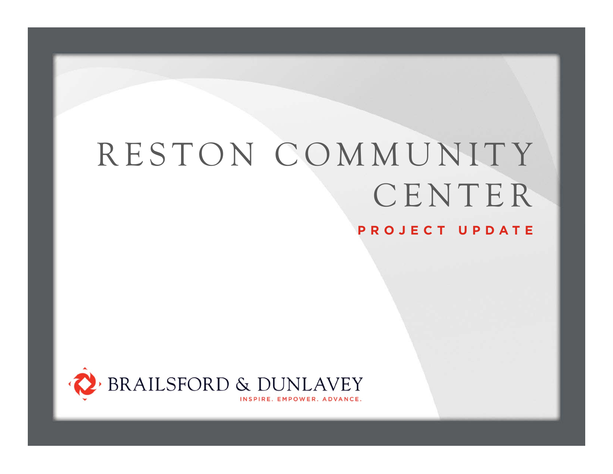# RESTON COMMUNITY CENTER



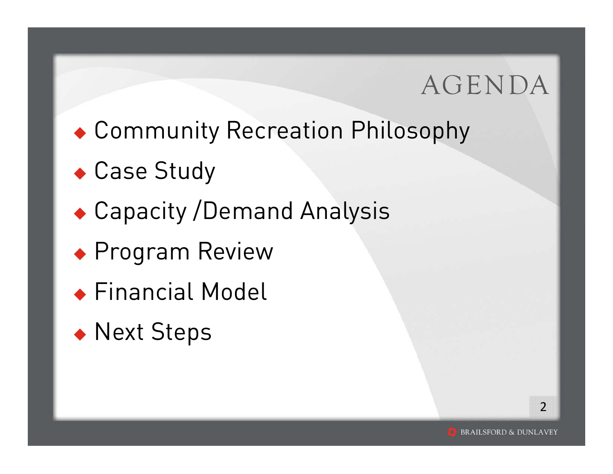## AGENDA

- Community Recreation Philosophy
- Case Study
- Capacity /Demand Analysis
- Program Review
- Financial Model
- ◆ Next Steps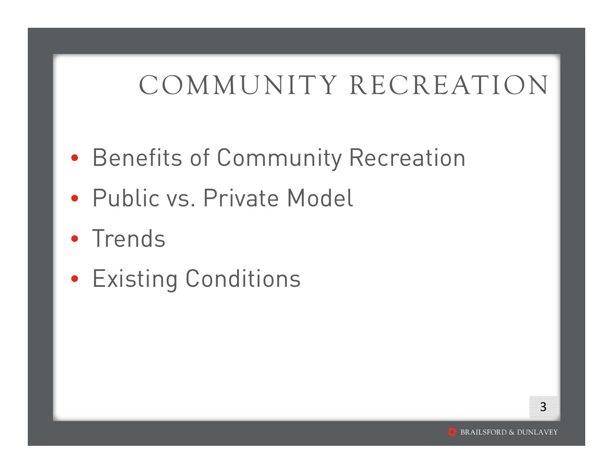- Benefits of Community Recreation
- Public vs. Private Model
- Trends
- Existing Conditions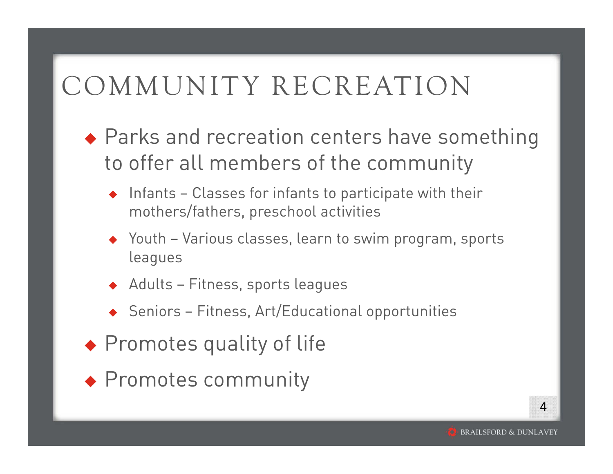- ◆ Parks and recreation centers have something to offer all members of the community
	- $\bullet$  Infants Classes for infants to participate with their mothers/fathers, preschool activities
	- Youth Various classes, learn to swim program, sports leagues
	- $\blacklozenge$  Adults Fitness, sports leagues
	- $\bullet$  Seniors Fitness, Art/Educational opportunities
- ◆ Promotes quality of life
- Promotes community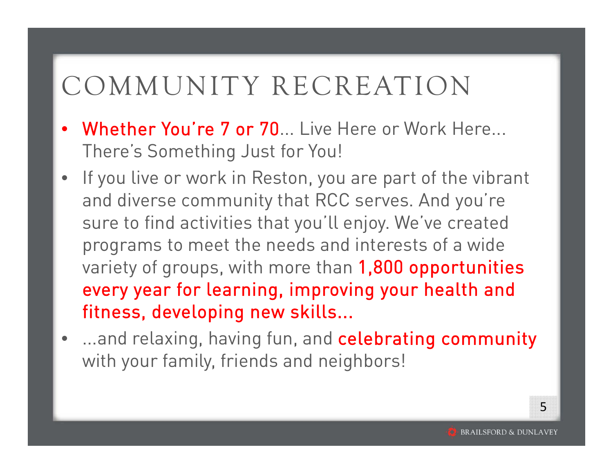- •Whether You're 7 or 70... Live Here or Work Here... There's Something Just for You!
- $\bullet$  If you live or work in Reston, you are part of the vibrant and diverse community that RCC serves. And you're sure to find activities that you'll enjoy. We've created programs to meet the needs and interests of a wide variety of groups, with more than 1,800 opportunities every year for learning, improving your health and fitness, developing new skills...
- •...and relaxing, having fun, and celebrating community with your family, friends and neighbors!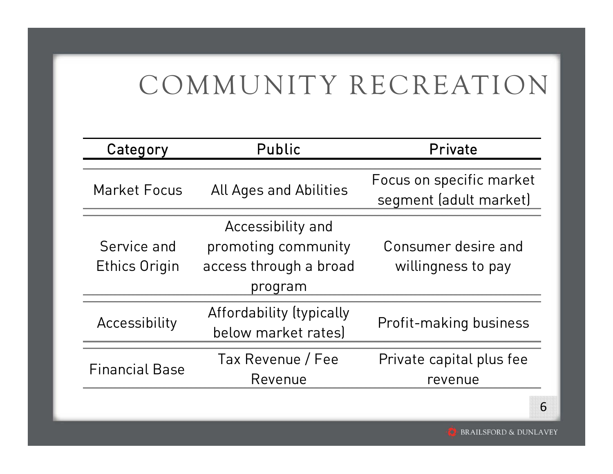| Category                            | Public                                                                        | Private                                            |
|-------------------------------------|-------------------------------------------------------------------------------|----------------------------------------------------|
| <b>Market Focus</b>                 | <b>All Ages and Abilities</b>                                                 | Focus on specific market<br>segment (adult market) |
| Service and<br><b>Ethics Origin</b> | Accessibility and<br>promoting community<br>access through a broad<br>program | Consumer desire and<br>willingness to pay          |
| Accessibility                       | Affordability (typically<br>below market rates)                               | Profit-making business                             |
| <b>Financial Base</b>               | Tax Revenue / Fee<br>Revenue                                                  | Private capital plus fee<br>revenue                |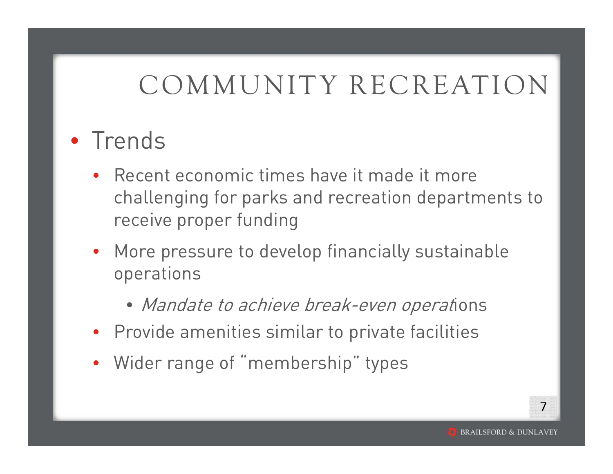#### • Trends

- Recent economic times have it made it more challenging for parks and recreation departments to receive proper funding
- More pressure to develop financially sustainable operations
	- Mandate to achieve break-even operations
- Provide amenities similar to private facilities
- Wider range of "membership" types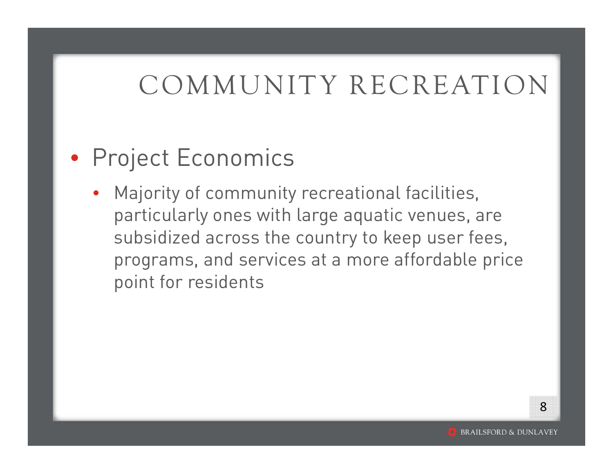#### • Project Economics

• Majority of community recreational facilities, particularly ones with large aquatic venues, are subsidized across the country to keep user fees, programs, and services at a more affordable price point for residents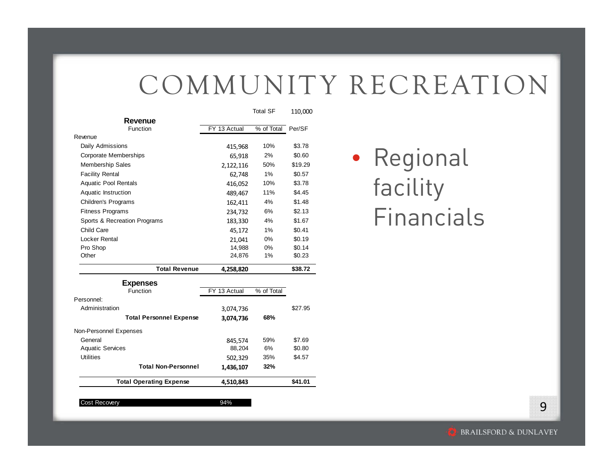|              | <b>Total SF</b> | 110,000 |
|--------------|-----------------|---------|
|              |                 |         |
| FY 13 Actual | % of Total      | Per/SF  |
|              |                 |         |
| 415,968      | 10%             | \$3.78  |
| 65,918       | 2%              | \$0.60  |
| 2,122,116    | 50%             | \$19.29 |
| 62,748       | 1%              | \$0.57  |
| 416,052      | 10%             | \$3.78  |
| 489,467      | 11%             | \$4.45  |
| 162,411      | 4%              | \$1.48  |
| 234,732      | 6%              | \$2.13  |
| 183,330      | 4%              | \$1.67  |
| 45,172       | 1%              | \$0.41  |
| 21,041       | 0%              | \$0.19  |
| 14,988       | 0%              | \$0.14  |
| 24,876       | 1%              | \$0.23  |
| 4,258,820    |                 | \$38.72 |
|              |                 |         |
| FY 13 Actual | % of Total      |         |
|              |                 |         |
| 3,074,736    |                 | \$27.95 |
| 3,074,736    | 68%             |         |
|              |                 |         |
| 845,574      | 59%             | \$7.69  |
|              |                 |         |
| 88,204       | 6%              | \$0.80  |
| 502,329      | 35%             | \$4.57  |
| 1,436,107    | 32%             |         |
|              |                 |         |

#### Cost Recovery **94%**

#### • Regional facility Financials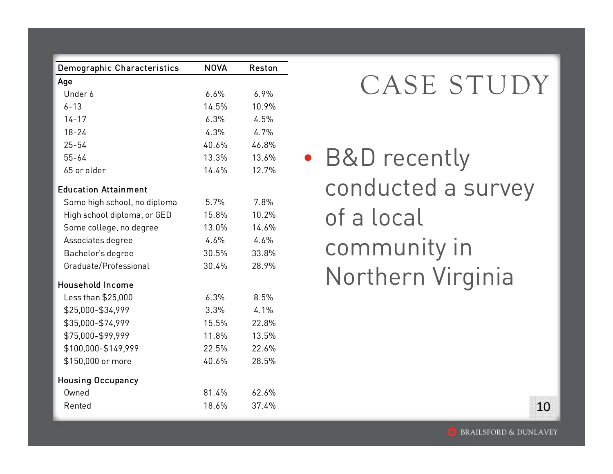| <b>Demographic Characteristics</b> | <b>NOVA</b> | Reston |
|------------------------------------|-------------|--------|
| Age                                |             |        |
| Under 6                            | 6.6%        | 6.9%   |
| $6 - 13$                           | 14.5%       | 10.9%  |
| $14 - 17$                          | 6.3%        | 4.5%   |
| $18 - 24$                          | 4.3%        | 4.7%   |
| $25 - 54$                          | 40.6%       | 46.8%  |
| $55 - 64$                          | 13.3%       | 13.6%  |
| 65 or older                        | 14.4%       | 12.7%  |
| <b>Education Attainment</b>        |             |        |
| Some high school, no diploma       | 5.7%        | 7.8%   |
| High school diploma, or GED        | 15.8%       | 10.2%  |
| Some college, no degree            | 13.0%       | 14.6%  |
| Associates degree                  | 4.6%        | 4.6%   |
| Bachelor's degree                  | 30.5%       | 33.8%  |
| Graduate/Professional              | 30.4%       | 28.9%  |
| <b>Household Income</b>            |             |        |
| Less than \$25,000                 | 6.3%        | 8.5%   |
| \$25,000-\$34,999                  | 3.3%        | 4.1%   |
| \$35,000-\$74,999                  | 15.5%       | 22.8%  |
| \$75,000-\$99,999                  | 11.8%       | 13.5%  |
| \$100,000-\$149,999                | 22.5%       | 22.6%  |
| \$150,000 or more                  | 40.6%       | 28.5%  |
| <b>Housing Occupancy</b>           |             |        |
| Owned                              | 81.4%       | 62.6%  |
| Rented                             | 18.6%       | 37.4%  |

#### CASE STUDY

• B&D recently conducted a survey of a local community in Northern Virginia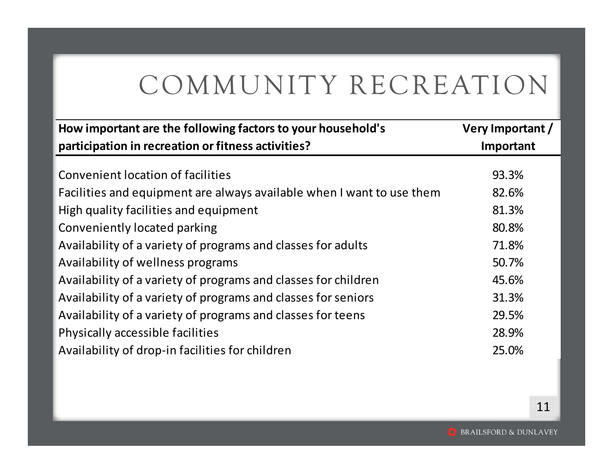| How important are the following factors to your household's           | Very Important / |
|-----------------------------------------------------------------------|------------------|
| participation in recreation or fitness activities?                    | Important        |
|                                                                       |                  |
| Convenient location of facilities                                     | 93.3%            |
| Facilities and equipment are always available when I want to use them | 82.6%            |
| High quality facilities and equipment                                 | 81.3%            |
| Conveniently located parking                                          | 80.8%            |
| Availability of a variety of programs and classes for adults          | 71.8%            |
| Availability of wellness programs                                     | 50.7%            |
| Availability of a variety of programs and classes for children        | 45.6%            |
| Availability of a variety of programs and classes for seniors         | 31.3%            |
| Availability of a variety of programs and classes for teens           | 29.5%            |
| Physically accessible facilities                                      | 28.9%            |
| Availability of drop-in facilities for children                       | 25.0%            |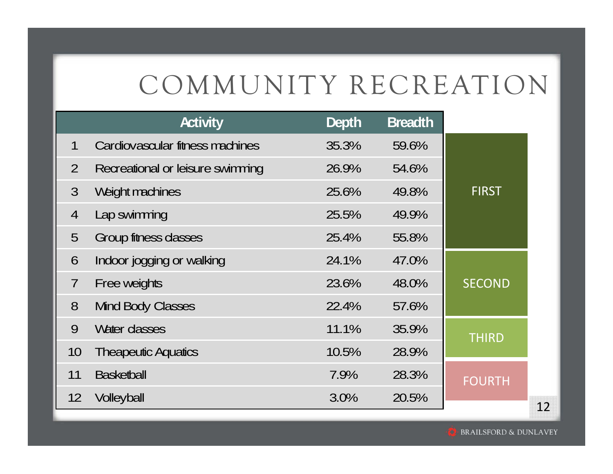|                | Activity                         | Depth | <b>Breadth</b> |               |    |
|----------------|----------------------------------|-------|----------------|---------------|----|
| 1              | Cardiovascular fitness machines  | 35.3% | 59.6%          |               |    |
| $\overline{2}$ | Recreational or leisure swimming | 26.9% | 54.6%          |               |    |
| $\mathfrak{Z}$ | Weight machines                  | 25.6% | 49.8%          | <b>FIRST</b>  |    |
| $\overline{4}$ | Lap swimming                     | 25.5% | 49.9%          |               |    |
| 5              | Group fitness classes            | 25.4% | 55.8%          |               |    |
| 6              | Indoor jogging or walking        | 24.1% | 47.0%          |               |    |
| $\overline{7}$ | Free weights                     | 23.6% | 48.0%          | <b>SECOND</b> |    |
| 8              | Mind Body Classes                | 22.4% | 57.6%          |               |    |
| 9              | Water classes                    | 11.1% | 35.9%          | <b>THIRD</b>  |    |
| 10             | <b>Theapeutic Aquatics</b>       | 10.5% | 28.9%          |               |    |
| 11             | <b>Basketball</b>                | 7.9%  | 28.3%          | <b>FOURTH</b> |    |
| 12             | Volleyball                       | 3.0%  | 20.5%          |               | 12 |

**BRAILSFORD & DUNLAVEY**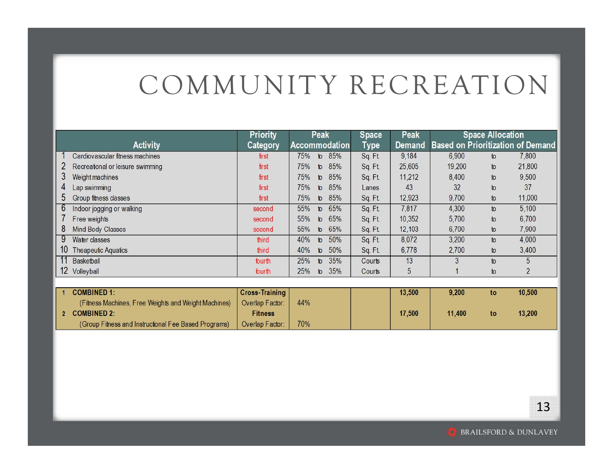|                                        | <b>Priority</b> | <b>Peak</b>                  | <b>Space</b> | <b>Peak</b> |                                          | <b>Space Allocation</b> |        |
|----------------------------------------|-----------------|------------------------------|--------------|-------------|------------------------------------------|-------------------------|--------|
| <b>Activity</b>                        | Category        | <b>Accommodation</b>         | Type         | Demand      | <b>Based on Prioritization of Demand</b> |                         |        |
| Cardiovascular fitness machines        | first           | 85%<br>75%<br>$\mathfrak{b}$ | Sq. Ft.      | 9,184       | 6,900                                    | to                      | 7,800  |
| Recreational or leisure swimming       | first           | 85%<br>75%<br>$\mathfrak{b}$ | Sq. Ft       | 25,605      | 19,200                                   | to                      | 21,800 |
| 3<br>Weight machines                   | first           | 85%<br>75%<br>$\mathfrak{b}$ | Sq. Ft.      | 11,212      | 8,400                                    | to                      | 9,500  |
| Lap swimming<br>4                      | first           | 85%<br>75%<br>$\mathbf{b}$   | Lanes        | 43          | 32                                       | to                      | 37     |
| $\mathfrak b$<br>Group fitness classes | first           | 85%<br>75%<br>$\mathbf{r}$   | Sq. Ft.      | 12,923      | 9,700                                    | to                      | 11,000 |
| 6<br>Indoor jogging or walking         | second          | 65%<br>55%<br>$\mathfrak{b}$ | Sq. Ft       | 7,817       | 4,300                                    | to                      | 5,100  |
| Free weights                           | second          | 65%<br>55%<br>$\mathbf{D}$   | Sq. Ft.      | 10,352      | 5,700                                    | to                      | 6,700  |
| 8<br>Mind Body Classes                 | second          | 65%<br>55%<br>$\mathbf{b}$   | Sq. Ft.      | 12,103      | 6,700                                    | to                      | 7,900  |
| Water classes<br>9                     | third           | 50%<br>40%<br>$\mathfrak{b}$ | Sq. Ft.      | 8,072       | 3,200                                    | to                      | 4,000  |
| 10<br><b>Theapeutic Aquatics</b>       | third           | 50%<br>40%<br>$\mathsf{t}$   | Sq. Ft.      | 6,778       | 2,700                                    | to                      | 3,400  |
| Basketball                             | fourth          | 25%<br>35%<br>$\mathfrak{b}$ | Courts       | 13          |                                          | to                      |        |
| 12 Volleyball                          | fourth          | 35%<br>25%<br>$\mathbf{r}$   | Courts       | 5           |                                          | to                      |        |

| <b>COMBINED 1:</b>                                   | Cross-Training  |     | 13,500 | 9,200  | to | 10.500 |
|------------------------------------------------------|-----------------|-----|--------|--------|----|--------|
| (Fitness Machines, Free Weights and Weight Machines) | Overlap Factor: | 44% |        |        |    |        |
| <b>COMBINED 2:</b>                                   | <b>Fitness</b>  |     | 17.500 | 11.400 | to | 13,200 |
| (Group Fitness and Instructional Fee Based Programs) | Overlap Factor: | 70% |        |        |    |        |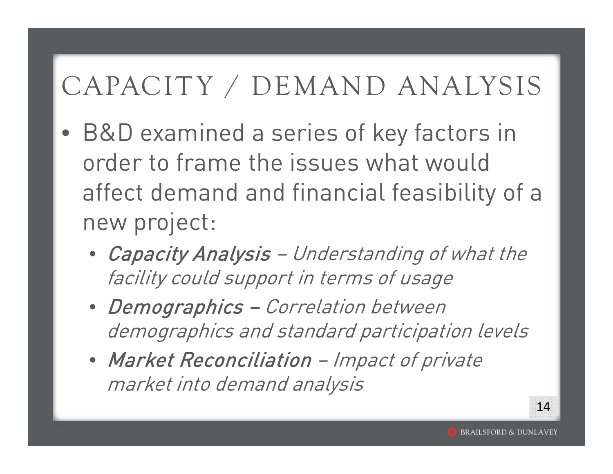- $\bullet$  B&D examined a series of key factors in order to frame the issues what would affect demand and financial feasibility of a new project:
	- Capacity Analysis Understanding of what the facility could support in terms of usage
	- Demographics Correlation between demographics and standard participation levels
	- Market Reconciliation Impact of private market into demand analysis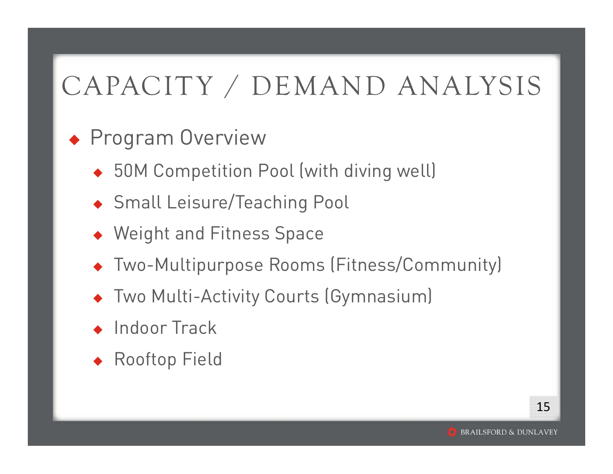#### **+ Program Overview**

- ◆ 50M Competition Pool (with diving well)
- Small Leisure/Teaching Pool
- ◆ Weight and Fitness Space
- Two-Multipurpose Rooms (Fitness/Community)
- ♦ Two Multi-Activity Courts (Gymnasium)
- ♦ Indoor Track
- ♦ Rooftop Field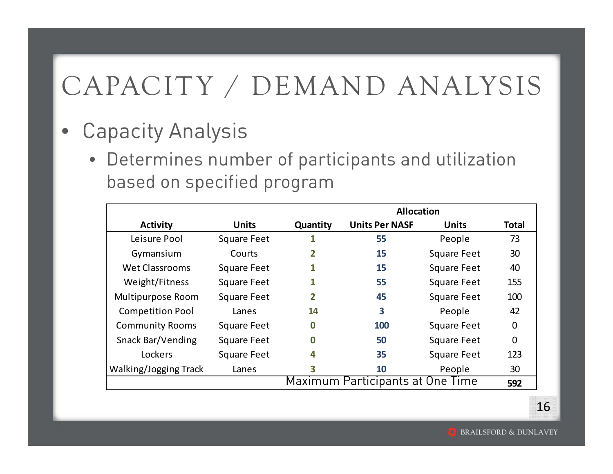- $\bullet$  Capacity Analysis
	- Determines number of participants and utilization based on specified program

|                                         |                    | <b>Allocation</b> |                       |                    |                |  |
|-----------------------------------------|--------------------|-------------------|-----------------------|--------------------|----------------|--|
| <b>Activity</b>                         | <b>Units</b>       | Quantity          | <b>Units Per NASF</b> | <b>Units</b>       | <b>Total</b>   |  |
| Leisure Pool                            | <b>Square Feet</b> |                   | 55                    | People             | 73             |  |
| Gymansium                               | Courts             | 2                 | 15                    | <b>Square Feet</b> | 30             |  |
| <b>Wet Classrooms</b>                   | <b>Square Feet</b> |                   | 15                    | <b>Square Feet</b> | 40             |  |
| Weight/Fitness                          | <b>Square Feet</b> |                   | 55                    | <b>Square Feet</b> | 155            |  |
| Multipurpose Room                       | <b>Square Feet</b> | 2                 | 45                    | <b>Square Feet</b> | 100            |  |
| <b>Competition Pool</b>                 | Lanes              | 14                | 3                     | People             | 42             |  |
| <b>Community Rooms</b>                  | <b>Square Feet</b> | $\bf{0}$          | 100                   | <b>Square Feet</b> | $\overline{0}$ |  |
| <b>Snack Bar/Vending</b>                | <b>Square Feet</b> | $\bf{0}$          | 50                    | <b>Square Feet</b> | 0              |  |
| Lockers                                 | <b>Square Feet</b> | 4                 | 35                    | <b>Square Feet</b> | 123            |  |
| Walking/Jogging Track                   | Lanes              | 3                 | 10                    | People             | 30             |  |
| Maximum Participants at One Time<br>592 |                    |                   |                       |                    |                |  |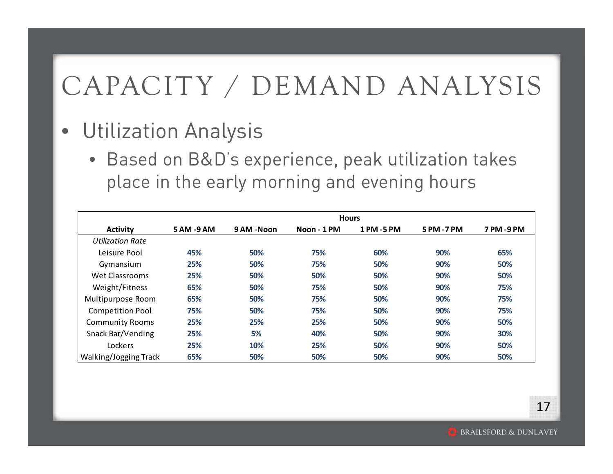- Utilization Analysis
	- Based on B&D's experience, peak utilization takes place in the early morning and evening hours

|                              | <b>Hours</b> |             |             |            |            |           |
|------------------------------|--------------|-------------|-------------|------------|------------|-----------|
| <b>Activity</b>              | 5 AM -9 AM   | 9 AM - Noon | Noon - 1 PM | 1 PM -5 PM | 5 PM -7 PM | 7 PM-9 PM |
| <b>Utilization Rate</b>      |              |             |             |            |            |           |
| Leisure Pool                 | 45%          | 50%         | 75%         | 60%        | 90%        | 65%       |
| Gymansium                    | 25%          | 50%         | 75%         | 50%        | 90%        | 50%       |
| <b>Wet Classrooms</b>        | 25%          | 50%         | 50%         | 50%        | 90%        | 50%       |
| Weight/Fitness               | 65%          | 50%         | 75%         | 50%        | 90%        | 75%       |
| Multipurpose Room            | 65%          | 50%         | 75%         | 50%        | 90%        | 75%       |
| <b>Competition Pool</b>      | 75%          | 50%         | 75%         | 50%        | 90%        | 75%       |
| <b>Community Rooms</b>       | 25%          | 25%         | 25%         | 50%        | 90%        | 50%       |
| Snack Bar/Vending            | 25%          | 5%          | 40%         | 50%        | 90%        | 30%       |
| Lockers                      | 25%          | 10%         | 25%         | 50%        | 90%        | 50%       |
| <b>Walking/Jogging Track</b> | 65%          | 50%         | 50%         | 50%        | 90%        | 50%       |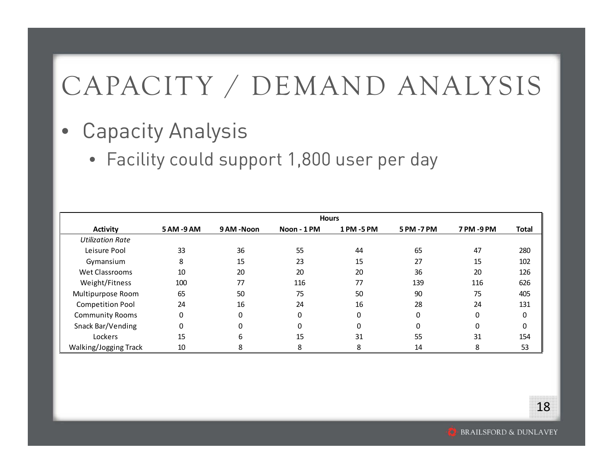- $\bullet$  Capacity Analysis
	- Facility could support 1,800 user per day

|                         | <b>Hours</b> |            |             |            |            |           |              |
|-------------------------|--------------|------------|-------------|------------|------------|-----------|--------------|
| Activity                | 5 AM -9 AM   | 9 AM -Noon | Noon - 1 PM | 1 PM -5 PM | 5 PM -7 PM | 7 PM-9 PM | <b>Total</b> |
| <b>Utilization Rate</b> |              |            |             |            |            |           |              |
| Leisure Pool            | 33           | 36         | 55          | 44         | 65         | 47        | 280          |
| Gymansium               | 8            | 15         | 23          | 15         | 27         | 15        | 102          |
| Wet Classrooms          | 10           | 20         | 20          | 20         | 36         | 20        | 126          |
| Weight/Fitness          | 100          | 77         | 116         | 77         | 139        | 116       | 626          |
| Multipurpose Room       | 65           | 50         | 75          | 50         | 90         | 75        | 405          |
| <b>Competition Pool</b> | 24           | 16         | 24          | 16         | 28         | 24        | 131          |
| <b>Community Rooms</b>  | 0            | 0          | $\Omega$    | 0          | 0          | $\Omega$  | 0            |
| Snack Bar/Vending       | 0            | $\Omega$   | $\Omega$    | 0          | 0          | $\Omega$  | 0            |
| Lockers                 | 15           | 6          | 15          | 31         | 55         | 31        | 154          |
| Walking/Jogging Track   | 10           | 8          | 8           | 8          | 14         | 8         | 53           |

**BRAILSFORD & DUNLAVEY**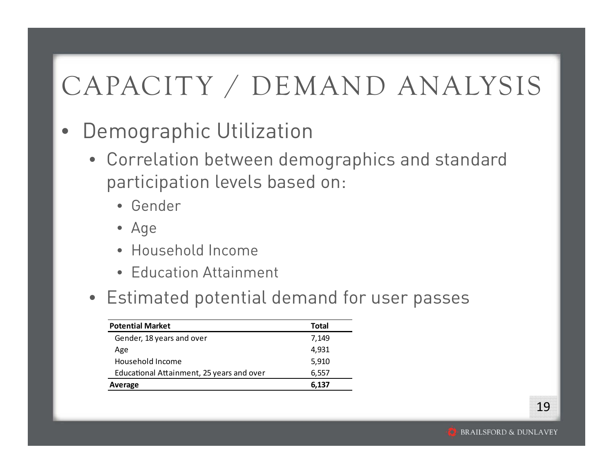#### $\bullet$ Demographic Utilization

- Correlation between demographics and standard participation levels based on:
	- Gender
	- Age
	- Household Income
	- Education Attainment
- Estimated potential demand for user passes

| <b>Potential Market</b>                   | <b>Total</b> |
|-------------------------------------------|--------------|
| Gender, 18 years and over                 | 7,149        |
| Age                                       | 4,931        |
| Household Income                          | 5,910        |
| Educational Attainment, 25 years and over | 6,557        |
| Average                                   | 6,137        |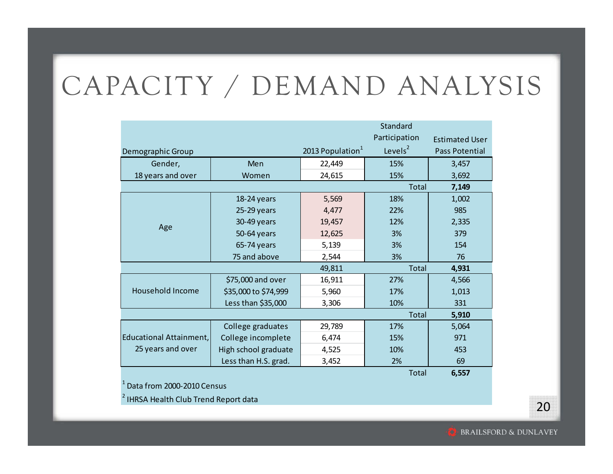|                         |                      |                              | Standard      |                       |
|-------------------------|----------------------|------------------------------|---------------|-----------------------|
|                         |                      |                              | Participation | <b>Estimated User</b> |
| Demographic Group       |                      | 2013 Population <sup>1</sup> | Levels $2$    | Pass Potential        |
| Gender,                 | Men                  | 22,449                       | 15%           | 3,457                 |
| 18 years and over       | Women                | 24,615                       | 15%           | 3,692                 |
|                         |                      |                              | Total         | 7,149                 |
|                         | 18-24 years          | 5,569                        | 18%           | 1,002                 |
|                         | $25-29$ years        | 4,477                        | 22%           | 985                   |
| Age                     | 30-49 years          | 19,457                       | 12%           | 2,335                 |
|                         | 50-64 years          | 12,625                       | 3%            | 379                   |
|                         | 65-74 years          | 5,139                        | 3%            | 154                   |
|                         | 75 and above         | 2,544                        | 3%            | 76                    |
|                         |                      | 49,811                       | <b>Total</b>  | 4,931                 |
|                         | \$75,000 and over    | 16,911                       | 27%           | 4,566                 |
| Household Income        | \$35,000 to \$74,999 | 5,960                        | 17%           | 1,013                 |
|                         | Less than \$35,000   | 3,306                        | 10%           | 331                   |
|                         |                      |                              | <b>Total</b>  | 5,910                 |
|                         | College graduates    | 29,789                       | 17%           | 5,064                 |
| Educational Attainment, | College incomplete   | 6,474                        | 15%           | 971                   |
| 25 years and over       | High school graduate | 4,525                        | 10%           | 453                   |
|                         | Less than H.S. grad. | 3,452                        | 2%            | 69                    |

Total

**6,557**

1Data from 2000‐2010 Census

<sup>2</sup> IHRSA Health Club Trend Report data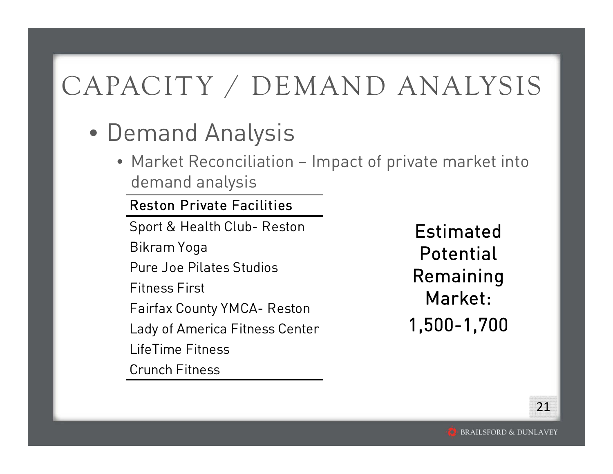- Demand Analysis
	- Market Reconciliation Impact of private market into demand analysis

#### Reston Private Facilities

Sport & Health Club- Reston Bikram Yoga Pure Joe Pilates StudiosFitness FirstFairfax County YMCA- Reston Lady of America Fitness Center LifeTime FitnessCrunch Fitness

Estimated Potential Remaining Market:1,500-1,700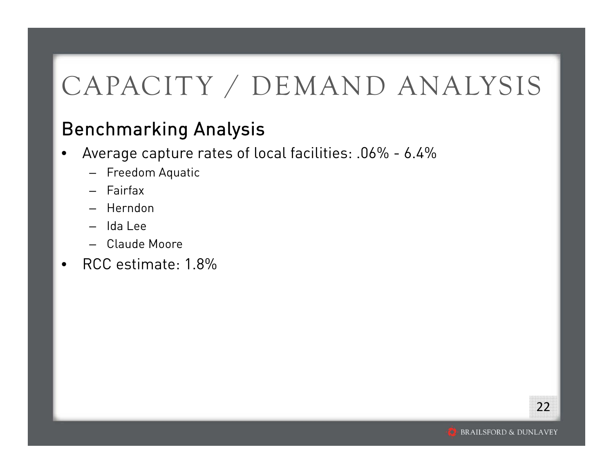#### Benchmarking Analysis

- • Average capture rates of local facilities: .06% - 6.4%
	- Freedom Aquatic
	- Fairfax
	- Herndon
	- Ida Lee
	- Claude Moore
- $\bullet$ RCC estimate: 1.8%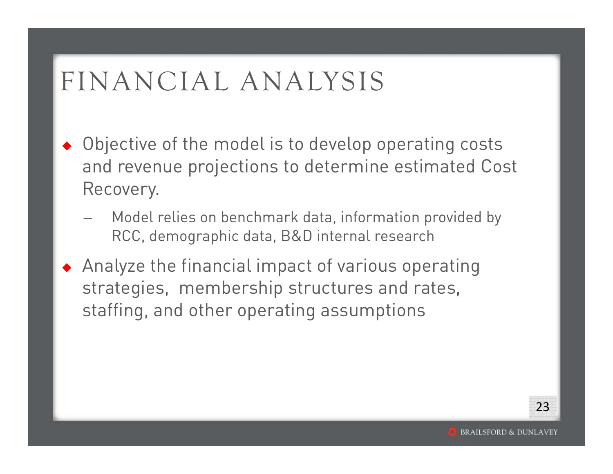#### FINANCIAL ANALYSIS

- ♦ Objective of the model is to develop operating costs and revenue projections to determine estimated Cost Recovery.
	- Model relies on benchmark data, information provided by RCC, demographic data, B&D internal research
- Analyze the financial impact of various operating strategies, membership structures and rates, staffing, and other operating assumptions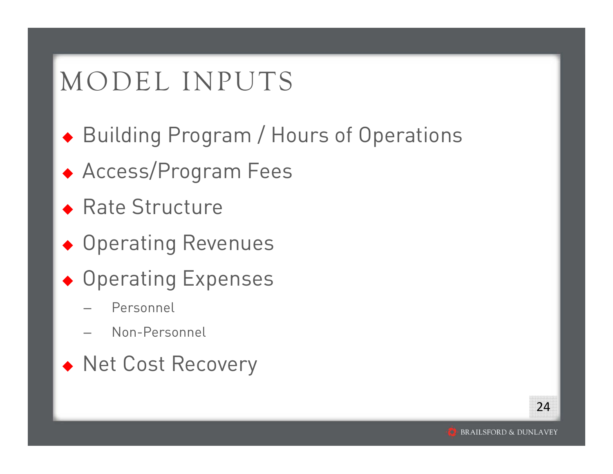#### MODEL INPUTS

- Building Program / Hours of Operations
- Access/Program Fees
- ◆ Rate Structure
- ◆ Operating Revenues
- ◆ Operating Expenses
	- Personnel
	- Non-Personnel
- ◆ Net Cost Recovery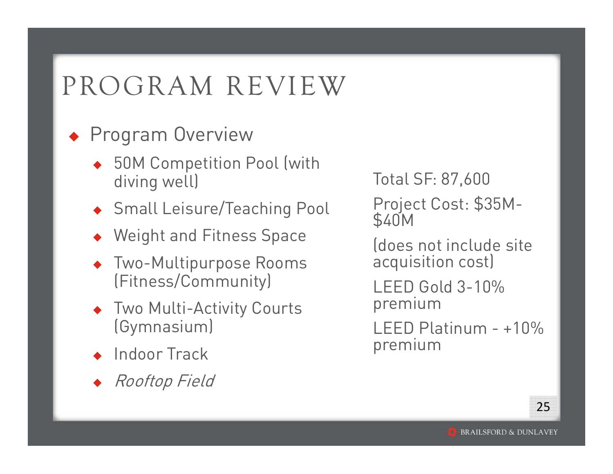### PROGRAM REVIEW

- **Program Overview** 
	- ◆ 50M Competition Pool (with diving well)
	- Small Leisure/Teaching Pool
	- Weight and Fitness Space
	- ♦ Two-Multipurpose Rooms (Fitness/Community)
	- ♦ Two Multi-Activity Courts (Gymnasium)
	- ♦ Indoor Track
	- ♦ Rooftop Field

Total SF: 87,600 Project Cost: \$35M- \$40M

(does not include site acquisition cost)

LEED Gold 3-10% premium

LEED Platinum - +10% premium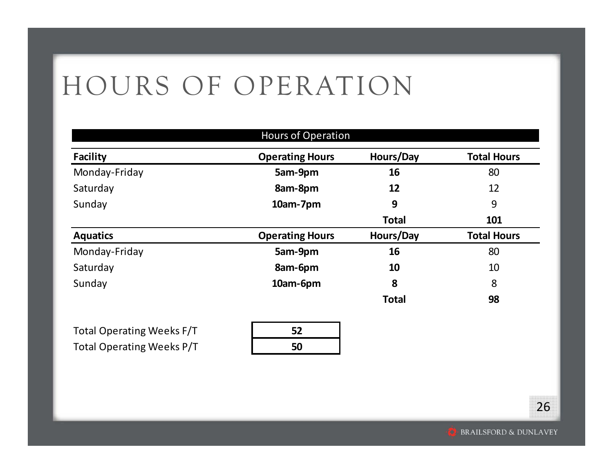#### HOURS OF OPERATION

|                 | <b>Hours of Operation</b> |              |                    |
|-----------------|---------------------------|--------------|--------------------|
| <b>Facility</b> | <b>Operating Hours</b>    | Hours/Day    | <b>Total Hours</b> |
| Monday-Friday   | 5am-9pm                   | 16           | 80                 |
| Saturday        | 8am-8pm                   | 12           | 12                 |
| Sunday          | 10am-7pm                  | 9            | 9                  |
|                 |                           | <b>Total</b> | 101                |
| <b>Aquatics</b> | <b>Operating Hours</b>    | Hours/Day    | <b>Total Hours</b> |
| Monday-Friday   | 5am-9pm                   | 16           | 80                 |
| Saturday        | 8am-6pm                   | 10           | 10                 |
| Sunday          | 10am-6pm                  | 8            | 8                  |
|                 |                           | <b>Total</b> | 98                 |
|                 |                           |              |                    |

Total Operating Weeks F/T **52** Total Operating Weeks P/T **50**

| 52 |  |
|----|--|
| 50 |  |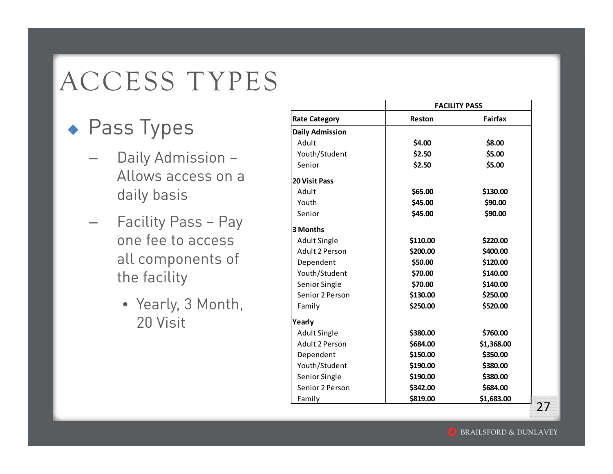## ACCESS TYPES

- ◆ Pass Types
	- Daily Admission Allows access on a daily basis
	- Facility Pass Pay one fee to access all components of the facility
		- Yearly, 3 Month, 20 Visit

|                        |          | <b>FACILITY PASS</b> |
|------------------------|----------|----------------------|
| <b>Rate Category</b>   | Reston   | <b>Fairfax</b>       |
| <b>Daily Admission</b> |          |                      |
| Adult                  | \$4.00   | \$8.00               |
| Youth/Student          | \$2.50   | \$5.00               |
| Senior                 | \$2.50   | \$5.00               |
| <b>20 Visit Pass</b>   |          |                      |
| Adult                  | \$65.00  | \$130.00             |
| Youth                  | \$45.00  | \$90.00              |
| Senior                 | \$45.00  | \$90.00              |
| 3 Months               |          |                      |
| <b>Adult Single</b>    | \$110.00 | \$220.00             |
| Adult 2 Person         | \$200.00 | \$400.00             |
| Dependent              | \$50.00  | \$120.00             |
| Youth/Student          | \$70.00  | \$140.00             |
| Senior Single          | \$70.00  | \$140.00             |
| Senior 2 Person        | \$130.00 | \$250.00             |
| Family                 | \$250.00 | \$520.00             |
| Yearly                 |          |                      |
| <b>Adult Single</b>    | \$380.00 | \$760.00             |
| <b>Adult 2 Person</b>  | \$684.00 | \$1,368.00           |
| Dependent              | \$150.00 | \$350.00             |
| Youth/Student          | \$190.00 | \$380.00             |
| Senior Single          | \$190.00 | \$380.00             |
| Senior 2 Person        | \$342.00 | \$684.00             |
| Family                 | \$819.00 | \$1,683.00           |

27

**BRAILSFORD & DUNLAVEY**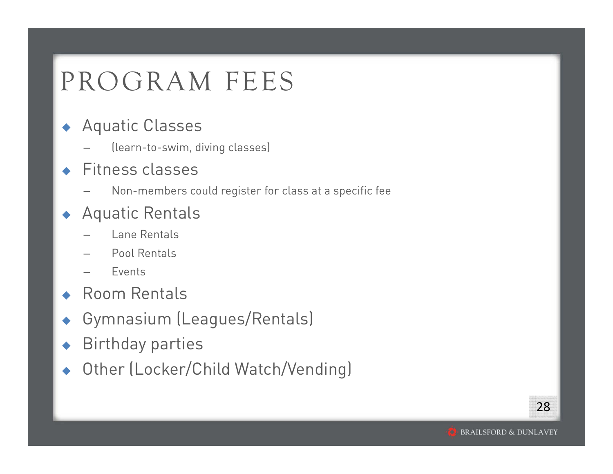#### PROGRAM FEES

#### ♦ Aquatic Classes

(learn-to-swim, diving classes)

#### ♦ Fitness classes

Non-members could register for class at a specific fee

#### ♦ Aquatic Rentals

- Lane Rentals
- Pool Rentals
- Events
- ◆ Room Rentals
- ♦ Gymnasium (Leagues/Rentals)
- ♦ Birthday parties
- ♦ Other (Locker/Child Watch/Vending)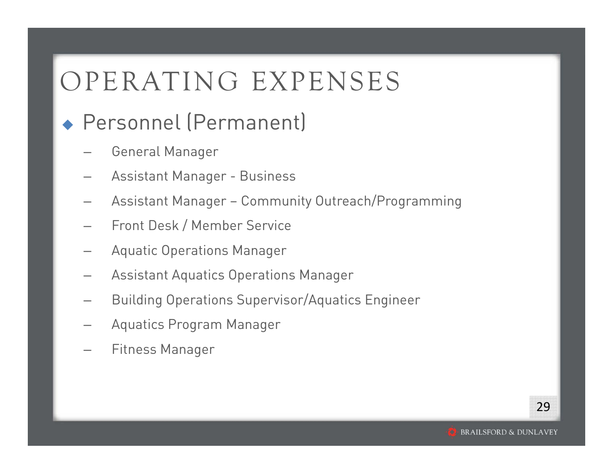#### OPERATING EXPENSES

#### Personnel (Permanent)

- General Manager
- Assistant Manager Business
- Assistant Manager Community Outreach/Programming
- Front Desk / Member Service
- Aquatic Operations Manager
- Assistant Aquatics Operations Manager
- Building Operations Supervisor/Aquatics Engineer
- Aquatics Program Manager
- Fitness Manager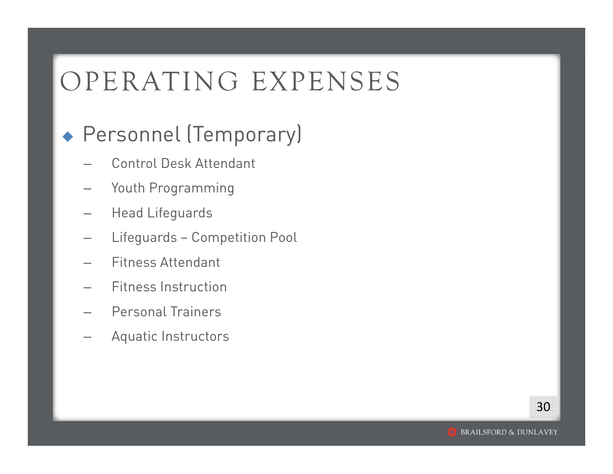#### OPERATING EXPENSES

#### Personnel (Temporary)

- Control Desk Attendant
- Youth Programming
- Head Lifeguards
- Lifeguards Competition Pool
- Fitness Attendant
- Fitness Instruction
- Personal Trainers
- Aquatic Instructors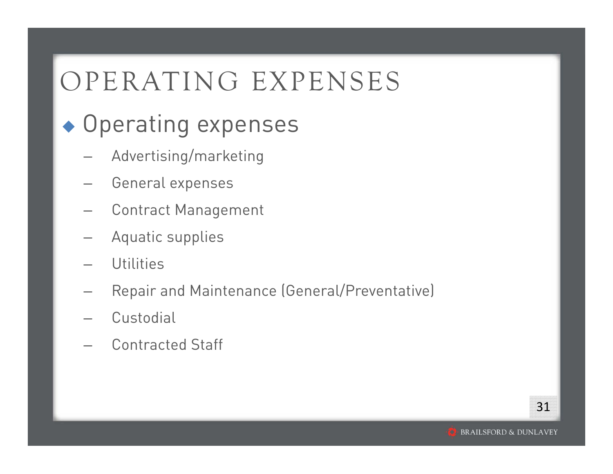### OPERATING EXPENSES

#### ◆ Operating expenses

- Advertising/marketing
- General expenses
- Contract Management
- Aquatic supplies
- **Utilities**
- Repair and Maintenance (General/Preventative)
- **Custodial**
- Contracted Staff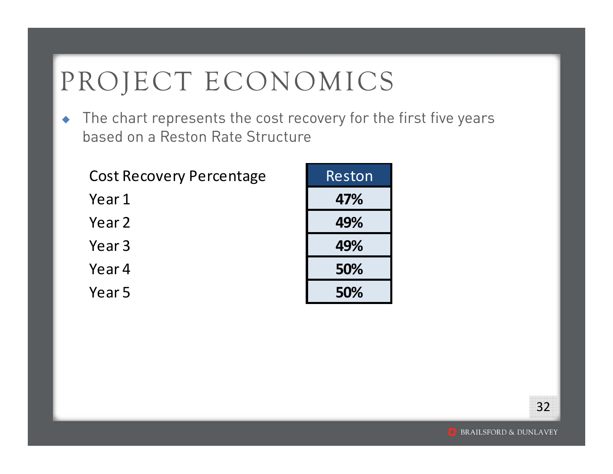### PROJECT ECONOMICS

 $\begin{array}{c} \bullet \\ \bullet \end{array}$  The chart represents the cost recovery for the first five years based on a Reston Rate Structure

| <b>Cost Recovery Percentage</b> | Reston |
|---------------------------------|--------|
| Year 1                          | 47%    |
| Year 2                          | 49%    |
| Year <sub>3</sub>               | 49%    |
| Year 4                          | 50%    |
| Year 5                          | 50%    |

| Reston |
|--------|
| 47%    |
| 49%    |
| 49%    |
| 50%    |
| 50%    |